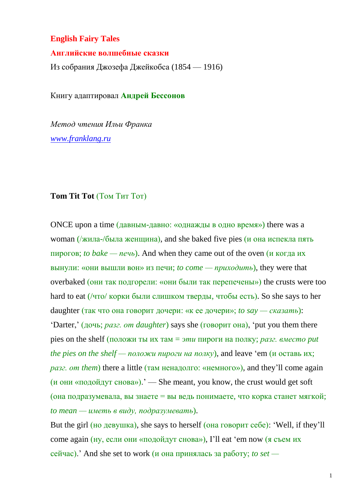## **English Fairy Tales**

## **Английские волшебные сказки**

Из собрания Джозефа Джейкобса (1854 — 1916)

Книгу адаптировал **Андрей Бессонов**

*Метод чтения Ильи Франка [www.franklang.ru](http://www.franklang.ru/)*

## **Tom Tit Tot** (Том Тит Тот)

ONCE upon a time (давным-давно: «однажды в одно время») there was a woman (/жила-/была женщина), and she baked five pies (и она испекла пять пирогов; *to bake* — *печь*). And when they came out of the oven (и когда их вынули: «они вышли вон» из печи; *to come — приходить*), they were that overbaked (они так подгорели: «они были так перепечены») the crusts were too hard to eat  $($ /что/ корки были слишком тверды, чтобы есть). So she says to her daughter (так что она говорит дочери: «к ее дочери»; *to say — сказать*): 'Darter,' (дочь; *разг. от daughter*) says she (говорит она), 'put you them there pies on the shelf (положи ты их там = *эти* пироги на полку; *разг. вместо put the pies on the shelf — положи пироги на полку*), and leave 'em (и оставь их; *разг. от them*) there a little (там ненадолго: «немного»), and they'll come again (и они «подойдут снова»).' — She meant, you know, the crust would get soft (она подразумевала, вы знаете = вы ведь понимаете, что корка станет мягкой; *to mean — иметь в виду, подразумевать*).

But the girl (но девушка), she says to herself (она говорит себе): 'Well, if they'll come again (ну, если они «подойдут снова»), I'll eat 'em now (я съем их сейчас).' And she set to work (и она принялась за работу; *to set —*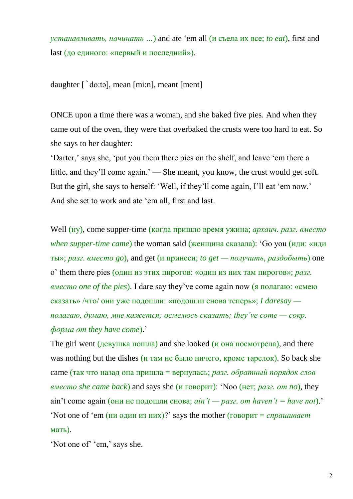*устанавливать, начинать …*) and ate 'em all (и съела их все; *to eat*), first and last (до единого: «первый и последний»).

daughter [`do:tə], mean [mi:n], meant [ment]

ONCE upon a time there was a woman, and she baked five pies. And when they came out of the oven, they were that overbaked the crusts were too hard to eat. So she says to her daughter:

'Darter,' says she, 'put you them there pies on the shelf, and leave 'em there a little, and they'll come again.' — She meant, you know, the crust would get soft. But the girl, she says to herself: 'Well, if they'll come again, I'll eat 'em now.' And she set to work and ate 'em all, first and last.

Well (ну), come supper-time (когда пришло время ужина; *архаич. разг. вместо when supper-time came*) the woman said (женщина сказала): 'Go you (иди: «иди ты»; *разг. вместо go*), and get (и принеси; *to get — получить, раздобыть*) one o' them there pies (один из этих пирогов: «один из них там пирогов»; *разг. вместо one of the pies*). I dare say they've come again now (я полагаю: «смею сказать» /что/ они уже подошли: «подошли снова теперь»; *I daresay полагаю, думаю, мне кажется; осмелюсь сказать; they've come — сокр. форма от they have come*).'

The girl went (девушка пошла) and she looked (*и* она посмотрела), and there was nothing but the dishes ( $\mu$  там не было ничего, кроме тарелок). So back she came (так что назад она пришла = вернулась; *разг. обратный порядок слов вместо she came back*) and says she (и говорит): 'Noo (нет; *разг. от no*), they ain't come again (они не подошли снова; *ain't — разг. от haven't = have not*).' 'Not one of 'em (ни один из них)?' says the mother (говорит = *спрашивает* мать).

'Not one of' 'em,' says she.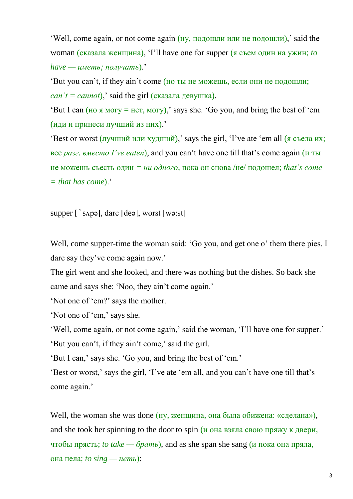'Well, come again, or not come again (ну, подошли или не подошли),' said the woman (сказала женщина), 'I'll have one for supper (я съем один на ужин; *to*   $have$  — иметь; получать).'

'But you can't, if they ain't come (но ты не можешь, если они не подошли;  $can't = cannot)$ , said the girl (сказала девушка).

'But I can (но я могу = нет, могу),' says she. 'Go you, and bring the best of 'em (иди и принеси лучший из них).'

'Best or worst (лучший или худший),' says the girl, 'I've ate 'em all (я съела их; все *разг. вместо I've eaten*), and you can't have one till that's come again (и ты не можешь съесть один *= ни одного*, пока он снова /не/ подошел; *that's come = that has come*).'

supper  $\lceil \text{`s} \text{apə} \rceil$ , dare  $\lceil \text{deə} \rceil$ , worst  $\lceil \text{wə:st} \rceil$ 

Well, come supper-time the woman said: 'Go you, and get one o' them there pies. I dare say they've come again now.'

The girl went and she looked, and there was nothing but the dishes. So back she came and says she: 'Noo, they ain't come again.'

'Not one of 'em?' says the mother.

'Not one of 'em,' says she.

'Well, come again, or not come again,' said the woman, 'I'll have one for supper.' 'But you can't, if they ain't come,' said the girl.

'But I can,' says she. 'Go you, and bring the best of 'em.'

'Best or worst,' says the girl, 'I've ate 'em all, and you can't have one till that's come again.'

Well, the woman she was done (ну, женщина, она была обижена: «сделана»), and she took her spinning to the door to spin (и она взяла свою пряжу к двери, чтобы прясть; *to take — брать*), and as she span she sang (и пока она пряла, она пела; *to sing — петь*):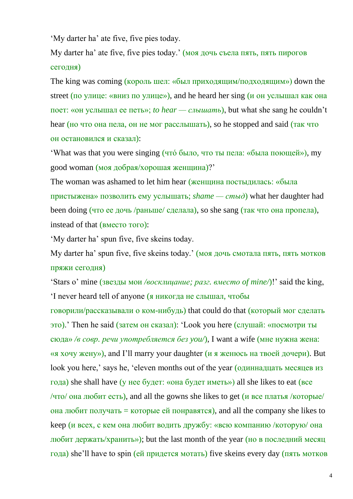'My darter ha' ate five, five pies today.

My darter ha' ate five, five pies today.' (моя дочь съела пять, пять пирогов сегодня)

The king was coming (король шел: «был приходящим/подходящим») down the street (по улице: «вниз по улице»), and he heard her sing (и он услышал как она поет: «он услышал ее петь»; *to hear — слышать*), but what she sang he couldn't hear (но что она пела, он не мог расслышать), so he stopped and said (так что он остановился и сказал):

'What was that you were singing (чтó было, что ты пела: «была поющей»), my good woman (моя добрая/хорошая женщина)?'

The woman was ashamed to let him hear (женщина постыдилась: «была пристыжена» позволить ему услышать; *shame — стыд*) what her daughter had been doing (что ее дочь /раньше/ сделала), so she sang (так что она пропела), instead of that (вместо того):

'My darter ha' spun five, five skeins today.

My darter ha' spun five, five skeins today.' (моя дочь смотала пять, пять мотков пряжи сегодня)

'Stars o' mine (звезды мои */восклицание; разг. вместо of mine/*)!' said the king, 'I never heard tell of anyone (я никогда не слышал, чтобы

говорили/рассказывали о ком-нибудь) that could do that (который мог сделать это).' Then he said (затем он сказал): 'Look you here (слушай: «посмотри ты сюда» */в совр. речи употребляется без you/*), I want a wife (мне нужна жена: «я хочу жену»), and I'll marry your daughter (и я женюсь на твоей дочери). But look you here,' says he, 'eleven months out of the year (одиннадцать месяцев из года) she shall have (у нее будет: «она будет иметь») all she likes to eat (все  $\pi$  /что/ она любит есть), and all the gowns she likes to get (и все платья /которые/ она любит получать = которые ей понравятся), and all the company she likes to keep (и всех, с кем она любит водить дружбу: «всю компанию /которую/ она любит держать/хранить»); but the last month of the year (но в последний месяц  $\overline{r}$ ода) she'll have to spin (ей придется мотать) five skeins every day (пять мотков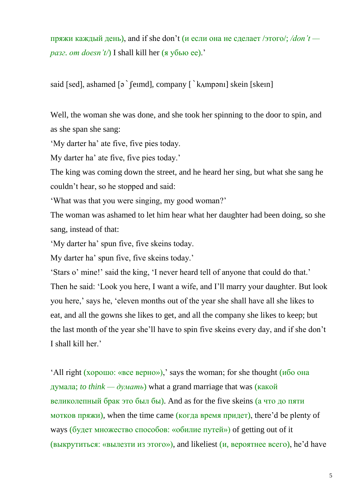пряжи каждый день), and if she don't (и если она не сделает /этого/; */don't разг. от doesn't/*) I shall kill her (я убью ее).'

said [sed], ashamed [ə ` [eɪmd], company [ ` kʌmpənɪ] skein [skeɪn]

Well, the woman she was done, and she took her spinning to the door to spin, and as she span she sang:

'My darter ha' ate five, five pies today.

My darter ha' ate five, five pies today.'

The king was coming down the street, and he heard her sing, but what she sang he couldn't hear, so he stopped and said:

'What was that you were singing, my good woman?'

The woman was ashamed to let him hear what her daughter had been doing, so she sang, instead of that:

'My darter ha' spun five, five skeins today.

My darter ha' spun five, five skeins today.'

'Stars o' mine!' said the king, 'I never heard tell of anyone that could do that.' Then he said: 'Look you here, I want a wife, and I'll marry your daughter. But look you here,' says he, 'eleven months out of the year she shall have all she likes to eat, and all the gowns she likes to get, and all the company she likes to keep; but the last month of the year she'll have to spin five skeins every day, and if she don't I shall kill her.'

'All right (хорошо: «все верно»),' says the woman; for she thought (ибо она думала; *to think — думать*) what a grand marriage that was (какой великолепный брак это был бы). And as for the five skeins (а что до пяти мотков пряжи), when the time came (когда время придет), there'd be plenty of ways (будет множество способов: «обилие путей») of getting out of it (выкрутиться: «вылезти из этого»), and likeliest (и, вероятнее всего), he'd have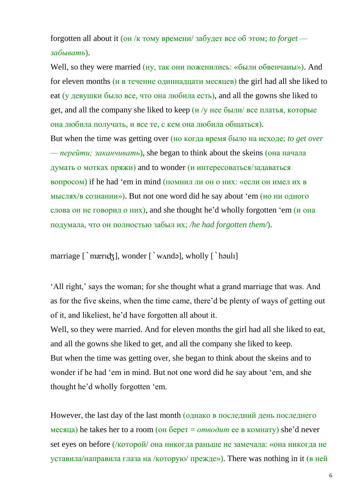forgotten all about it (он /к тому времени/ забудет все об этом; *to forget забывать*).

Well, so they were married (ну, так они поженились: «были обвенчаны»). And for eleven months (и в течение одиннадцати месяцев) the girl had all she liked to eat (у девушки было все, что она любила есть), and all the gowns she liked to get, and all the company she liked to keep  $(u / v)$  нее были/ все платья, которые она любила получать, и все те, с кем она любила общаться).

But when the time was getting over (но когда время было на исходе; *to get over — перейти; заканчивать*), she began to think about the skeins (она начала думать о мотках пряжи) and to wonder (и интересоваться/задаваться вопросом) if he had 'em in mind (помнил ли он о них: «если он имел их в мыслях/в сознании»). But not one word did he say about 'em (но ни одного слова он не говорил о них), and she thought he'd wholly forgotten 'em (и она подумала, что он полностью забыл их; */he had forgotten them/*).

marriage  $\lceil \cdot \text{mærdz} \rceil$ , wonder  $\lceil \cdot \text{wandə} \rceil$ , wholly  $\lceil \cdot \text{houl} \rceil$ 

'All right,' says the woman; for she thought what a grand marriage that was. And as for the five skeins, when the time came, there'd be plenty of ways of getting out of it, and likeliest, he'd have forgotten all about it.

Well, so they were married. And for eleven months the girl had all she liked to eat, and all the gowns she liked to get, and all the company she liked to keep. But when the time was getting over, she began to think about the skeins and to wonder if he had 'em in mind. But not one word did he say about 'em, and she thought he'd wholly forgotten 'em.

However, the last day of the last month (однако в последний день последнего месяца) he takes her to a room (он берет = *отводит* ее в комнату) she'd never set eyes on before (/которой/ она никогда раньше не замечала: «она никогда не уставила/направила глаза на /которую/ прежде»). There was nothing in it (в ней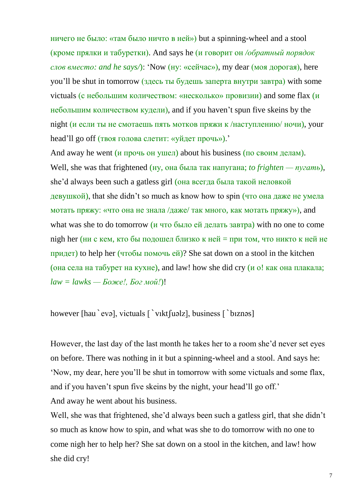ничего не было: «там было ничто в ней») but a spinning-wheel and a stool (кроме прялки и табуретки). And says he (и говорит он */обратный порядок слов вместо: and he says/*): 'Now (ну: «сейчас»), my dear (моя дорогая), here you'll be shut in tomorrow (здесь ты будешь заперта внутри завтра) with some victuals (с небольшим количеством: «несколько» провизии) and some flax ( $\overline{u}$ небольшим количеством кудели), and if you haven't spun five skeins by the night (и если ты не смотаешь пять мотков пряжи к /наступлению/ ночи), your head'll go off (твоя голова слетит: «уйдет прочь»).'

And away he went  $(\mu$  прочь он ушел) about his business (по своим делам). Well, she was that frightened (ну, она была так напугана; *to frighten — пугать*), she'd always been such a gatless girl (она всегда была такой неловкой девушкой), that she didn't so much as know how to spin (что она даже не умела мотать пряжу: «что она не знала /даже/ так много, как мотать пряжу»), and what was she to do tomorrow (и что было ей делать завтра) with no one to come nigh her (ни с кем, кто бы подошел близко к ней = при том, что никто к ней не придет) to help her (чтобы помочь ей)? She sat down on a stool in the kitchen (она села на табурет на кухне), and law! how she did cry (и о! как она плакала; *law = lawks — Боже!, Бог мой!*)!

however [hau`evə], victuals  $\lceil$ `vıkt fuəlz], business  $\lceil$ `bıznəs]

However, the last day of the last month he takes her to a room she'd never set eyes on before. There was nothing in it but a spinning-wheel and a stool. And says he: 'Now, my dear, here you'll be shut in tomorrow with some victuals and some flax, and if you haven't spun five skeins by the night, your head'll go off.' And away he went about his business.

Well, she was that frightened, she'd always been such a gatless girl, that she didn't so much as know how to spin, and what was she to do tomorrow with no one to come nigh her to help her? She sat down on a stool in the kitchen, and law! how she did cry!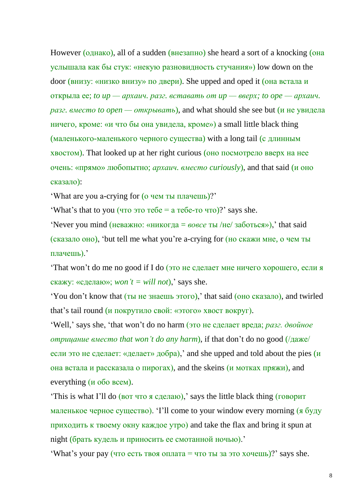However (однако), all of a sudden (внезапно) she heard a sort of a knocking (она услышала как бы стук: «некую разновидность стучания») low down on the door (внизу: «низко внизу» по двери). She upped and oped it (она встала и открыла ее; *to up — архаич. разг. вставать от up — вверх; to ope — архаич. разг. вместо to open — открывать*), and what should she see but (и не увидела ничего, кроме: «и что бы она увидела, кроме») a small little black thing (маленького-маленького черного существа) with a long tail (с длинным хвостом). That looked up at her right curious (оно посмотрело вверх на нее очень: «прямо» любопытно; *архаич. вместо curiously*), and that said (и оно сказало):

'What are you a-crying for (о чем ты плачешь)?'

'What's that to you (что это тебе = а тебе-то что)?' says she.

'Never you mind (неважно: «никогда = *вовсе* ты /не/ заботься»),' that said (сказало оно), 'but tell me what you're a-crying for (но скажи мне, о чем ты плачешь).'

'That won't do me no good if I do (это не сделает мне ничего хорошего, если я скажу: «сделаю»; *won't* = will *not*),' says she.

'You don't know that (ты не знаешь этого),' that said (оно сказало), and twirled that's tail round (и покрутило свой: «этого» хвост вокруг).

'Well,' says she, 'that won't do no harm (это не сделает вреда; *разг. двойное отрицание вместо that won't do any harm*), if that don't do no good (/даже/ если это не сделает: «делает» добра),' and she upped and told about the pies  $(u)$ она встала и рассказала о пирогах), and the skeins (и мотках пряжи), and everything (и обо всем).

'This is what I'll do (вот что я сделаю),' says the little black thing (говорит маленькое черное существо). 'I'll come to your window every morning (я буду приходить к твоему окну каждое утро) and take the flax and bring it spun at night (брать кудель и приносить ее смотанной ночью).'

'What's your pay (что есть твоя оплата = что ты за это хочешь)?' says she.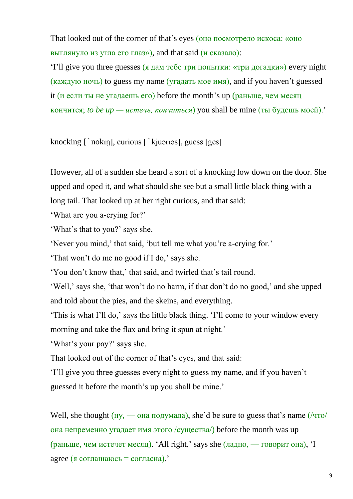That looked out of the corner of that's eyes (оно посмотрело искоса: «оно выглянуло из угла его глаз»), and that said (и сказало):

'I'll give you three guesses (я дам тебе три попытки: «три догадки») every night (каждую ночь) to guess my name (угадать мое имя), and if you haven't guessed it (и если ты не угадаешь его) before the month's up (раньше, чем месяц кончится; *to be up* — *истечь, кончиться*) you shall be mine (ты будешь моей).'

knocking [`nokıŋ], curious [`kjuərıəs], guess [ges]

However, all of a sudden she heard a sort of a knocking low down on the door. She upped and oped it, and what should she see but a small little black thing with a long tail. That looked up at her right curious, and that said:

'What are you a-crying for?'

'What's that to you?' says she.

'Never you mind,' that said, 'but tell me what you're a-crying for.'

'That won't do me no good if I do,' says she.

'You don't know that,' that said, and twirled that's tail round.

'Well,' says she, 'that won't do no harm, if that don't do no good,' and she upped and told about the pies, and the skeins, and everything.

'This is what I'll do,' says the little black thing. 'I'll come to your window every morning and take the flax and bring it spun at night.'

'What's your pay?' says she.

That looked out of the corner of that's eyes, and that said:

'I'll give you three guesses every night to guess my name, and if you haven't guessed it before the month's up you shall be mine.'

Well, she thought  $(Hy, -q)$  oha подумала), she'd be sure to guess that's name  $(2Tq)$ она непременно угадает имя этого /существа/) before the month was up (раньше, чем истечет месяц). 'All right,' says she (ладно, — говорит она), 'I agree (я соглашаюсь = согласна).'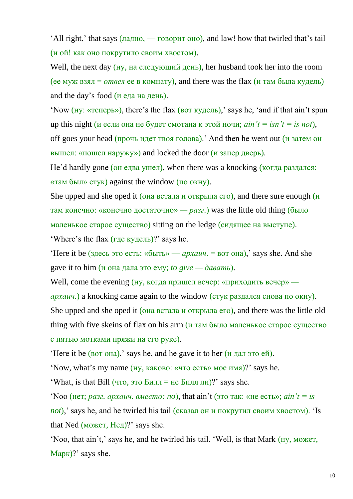'All right,' that says (ладно, — говорит оно), and law! how that twirled that's tail (и ой! как оно покрутило своим хвостом).

Well, the next day (ну, на следующий день), her husband took her into the room (ее муж взял = *отвел* ее в комнату), and there was the flax (*и* там была кудель) and the day's food (и еда на день).

'Now (ну: «теперь»), there's the flax (вот кудель),' says he, 'and if that ain't spun up this night (и если она не будет смотана к этой ночи; *ain't = isn't = is not*), off goes your head (прочь идет твоя голова).' And then he went out (и затем он вышел: «пошел наружу») and locked the door  $(\mu \text{ sample})$ .

He'd hardly gone (он едва ушел), when there was a knocking (когда раздался: «там был» стук) against the window (по окну).

She upped and she oped it ( $\alpha$ на встала и открыла его), and there sure enough ( $\mu$ там конечно: «конечно достаточно» *— разг.*) was the little old thing (было маленькое старое существо) sitting on the ledge (сидящее на выступе).

'Where's the flax (где кудель)?' says he.

'Here it be (здесь это есть: «быть» — *архаич*. = вот она),' says she. And she gave it to him (и она дала это ему; *to give — давать*).

Well, come the evening (ну, когда пришел вечер: «приходить вечер» *—*

*архаич.*) a knocking came again to the window (стук раздался снова по окну).

She upped and she oped it (она встала и открыла его), and there was the little old thing with five skeins of flax on his arm (и там было маленькое старое существо с пятью мотками пряжи на его руке).

'Here it be (вот она),' says he, and he gave it to her (и дал это ей).

'Now, what's my name (ну, каково: «что есть» мое имя)?' says he.

'What, is that Bill (что, это Билл = не Билл ли)?' says she.

'Noo (нет; *разг. архаич. вместо: no*), that ain't (это так: «не есть»; *ain't = is not*),' says he, and he twirled his tail (сказал он и покрутил своим хвостом). 'Is that Ned (может, Нед)?' says she.

'Noo, that ain't,' says he, and he twirled his tail. 'Well, is that Mark (ну, может, Марк)?' says she.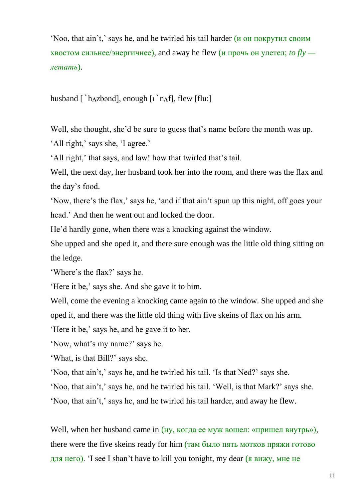'Noo, that ain't,' says he, and he twirled his tail harder (и он покрутил своим хвостом сильнее/энергичнее), and away he flew (и прочь он улетел; *to fly летать*).

husband  $\lceil \Delta x \rangle$  has a fluid fluid fluid fluid fluid fluid fluid fluid fluid fluid fluid fluid fluid fluid fluid fluid fluid fluid fluid fluid fluid fluid fluid fluid fluid fluid fluid fluid fluid fluid fluid fluid flui

Well, she thought, she'd be sure to guess that's name before the month was up.

'All right,' says she, 'I agree.'

'All right,' that says, and law! how that twirled that's tail.

Well, the next day, her husband took her into the room, and there was the flax and the day's food.

'Now, there's the flax,' says he, 'and if that ain't spun up this night, off goes your head.' And then he went out and locked the door.

He'd hardly gone, when there was a knocking against the window.

She upped and she oped it, and there sure enough was the little old thing sitting on the ledge.

'Where's the flax?' says he.

'Here it be,' says she. And she gave it to him.

Well, come the evening a knocking came again to the window. She upped and she oped it, and there was the little old thing with five skeins of flax on his arm.

'Here it be,' says he, and he gave it to her.

'Now, what's my name?' says he.

'What, is that Bill?' says she.

'Noo, that ain't,' says he, and he twirled his tail. 'Is that Ned?' says she.

'Noo, that ain't,' says he, and he twirled his tail. 'Well, is that Mark?' says she.

'Noo, that ain't,' says he, and he twirled his tail harder, and away he flew.

Well, when her husband came in (ну, когда ее муж вошел: «пришел внутрь»), there were the five skeins ready for him (там было пять мотков пряжи готово для него). 'I see I shan't have to kill you tonight, my dear (я вижу, мне не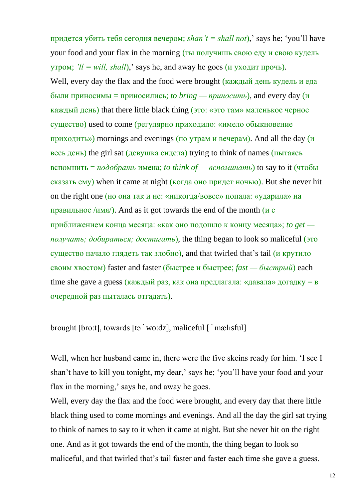придется убить тебя сегодня вечером; *shan't = shall not*),' says he; 'you'll have your food and your flax in the morning (ты получишь свою еду и свою кудель утром; *'ll* = *will*, *shall*),' says he, and away he goes (и уходит прочь). Well, every day the flax and the food were brought (каждый день кудель и еда были приносимы = приносились; *to bring — приносить*), and every day (и каждый день) that there little black thing (это: «это там» маленькое черное существо) used to come (регулярно приходило: «имело обыкновение  $\pi$ риходить») mornings and evenings (по утрам и вечерам). And all the day (и весь день) the girl sat (девушка сидела) trying to think of names (пытаясь вспомнить = *подобрать* имена; *to think of — вспоминать*) to say to it (чтобы сказать ему) when it came at night (когда оно придет ночью). But she never hit on the right one (но она так и не: «никогда/вовсе» попала: «ударила» на правильное /имя/). And as it got towards the end of the month  $\overline{u}$  c приближением конца месяца: «как оно подошло к концу месяца»; *to get получать; добираться; достигать*), the thing began to look so maliceful (это существо начало глядеть так злобно), and that twirled that's tail (и крутило своим хвостом) faster and faster (быстрее и быстрее; *fast — быстрый*) each time she gave a guess (каждый раз, как она предлагала: «давала» догадку = в очередной раз пыталась отгадать).

brought [bro:t], towards [tə`wo:dz], maliceful [`mælısful]

Well, when her husband came in, there were the five skeins ready for him. 'I see I shan't have to kill you tonight, my dear,' says he; 'you'll have your food and your flax in the morning,' says he, and away he goes.

Well, every day the flax and the food were brought, and every day that there little black thing used to come mornings and evenings. And all the day the girl sat trying to think of names to say to it when it came at night. But she never hit on the right one. And as it got towards the end of the month, the thing began to look so maliceful, and that twirled that's tail faster and faster each time she gave a guess.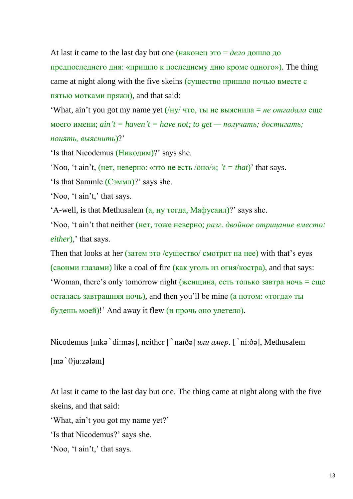At last it came to the last day but one (наконец это  $=$  *дело* дошло до

предпоследнего дня: «пришло к последнему дню кроме одного»). The thing came at night along with the five skeins (существо пришло ночью вместе с пятью мотками пряжи), and that said:

'What, ain't you got my name yet  $\left(\frac{\mu y}{\mu v}\right)$  что, ты не выяснила = *не отгадала* еще моего имени; *ain't = haven't = have not; to get — получать; достигать; понять, выяснить*)?'

'Is that Nicodemus (Никодим)?' says she.

'Noo, 't ain't, (нет, неверно: «это не есть /оно/»;  $t = that$ )' that says.

'Is that Sammle (Сэммл)?' says she.

'Noo, 't ain't,' that says.

'A-well, is that Methusalem (а, ну тогда, Мафусаил)?' says she.

'Noo, 't ain't that neither (нет, тоже неверно; *разг. двойное отрицание вместо: either*),' that says.

Then that looks at her (затем это /существо/ смотрит на нее) with that's eyes (своими глазами) like a coal of fire (как уголь из огня/костра), and that says: 'Woman, there's only tomorrow night (женщина, есть только завтра ночь  $=$  еще осталась завтрашняя ночь), and then you'll be mine (а потом: «тогда» ты будешь моей)!' And away it flew (и прочь оно улетело).

Nicodemus [nıkə`di:məs], neither [`naıðə] *или амер.* [`ni:ðə], Methusalem

 $[m\phi^{\dagger} \theta]$ ju:zələm]

At last it came to the last day but one. The thing came at night along with the five skeins, and that said:

'What, ain't you got my name yet?'

'Is that Nicodemus?' says she.

'Noo, 't ain't,' that says.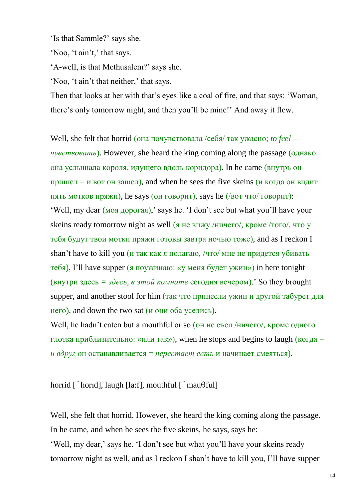'Is that Sammle?' says she.

'Noo, 't ain't,' that says.

'A-well, is that Methusalem?' says she.

'Noo, 't ain't that neither,' that says.

Then that looks at her with that's eyes like a coal of fire, and that says: 'Woman, there's only tomorrow night, and then you'll be mine!' And away it flew.

Well, she felt that horrid (она почувствовала /себя/ так ужасно; *to feel чувствовать*). However, she heard the king coming along the passage (однако она услышала короля, идущего вдоль коридора). In he came (внутрь он пришел = и вот он зашел), and when he sees the five skeins (и когда он видит пять мотков пряжи), he says (он говорит), says he (/вот что/ говорит): 'Well, my dear (моя дорогая),' says he. 'I don't see but what you'll have your skeins ready tomorrow night as well (я не вижу /ничего/, кроме /того/, что у тебя будут твои мотки пряжи готовы завтра ночью тоже), and as I reckon I shan't have to kill you (и так как я полагаю, /что/ мне не придется убивать тебя), I'll have supper (я поужинаю: «у меня будет ужин») in here tonight (внутри здесь *= здесь, в этой комнате* сегодня вечером).' So they brought supper, and another stool for him (так что принесли ужин и другой табурет для него), and down the two sat (и они оба уселись).

Well, he hadn't eaten but a mouthful or so (он не съел /ничего/, кроме одного глотка приблизительно: «или так»), when he stops and begins to laugh (когда = *и вдруг* он останавливается = *перестает есть* и начинает смеяться).

horrid  $\int$  horid], laugh [la:f], mouthful  $\int$  mau $\theta$ ful]

Well, she felt that horrid. However, she heard the king coming along the passage. In he came, and when he sees the five skeins, he says, says he: 'Well, my dear,' says he. 'I don't see but what you'll have your skeins ready tomorrow night as well, and as I reckon I shan't have to kill you, I'll have supper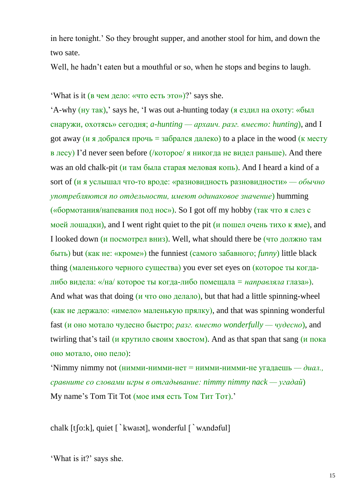in here tonight.' So they brought supper, and another stool for him, and down the two sate.

Well, he hadn't eaten but a mouthful or so, when he stops and begins to laugh.

'What is it (в чем дело: «что есть это»)?' says she.

'A-why (ну так),' says he, 'I was out a-hunting today (я ездил на охоту: «был снаружи, охотясь» сегодня; *a-hunting — архаич. разг. вместо: hunting*), and I got away (и я добрался прочь = забрался далеко) to a place in the wood (к месту  $\mathbf{B}$  лесу) I'd never seen before (/которое/ я никогда не видел раньше). And there was an old chalk-pit (и там была старая меловая копь). And I heard a kind of a sort of (и я услышал что-то вроде: «разновидность разновидности» *— обычно употребляются по отдельности, имеют одинаковое значение*) humming («бормотания/напевания под нос»). So I got off my hobby (так что я слез с моей лошадки), and I went right quiet to the pit (и пошел очень тихо к яме), and I looked down (и посмотрел вниз). Well, what should there be (что должно там быть) but (как не: «кроме») the funniest (самого забавного; *funny*) little black thing (маленького черного существа) you ever set eyes on (которое ты когдалибо видела: «/на/ которое ты когда-либо помещала *= направляла* глаза»). And what was that doing (*и* что оно делало), but that had a little spinning-wheel (как не держало: «имело» маленькую прялку), and that was spinning wonderful fast (и оно мотало чудесно быстро; *разг. вместо wonderfully — чудесно*), and twirling that's tail (и крутило своим хвостом). And as that span that sang (и пока оно мотало, оно пело):

'Nimmy nimmy not (нимми-нимми-нет = нимми-нимми-не угадаешь *— диал., сравните со словами игры в отгадывание: nimmy nimmy nack — угадай*) My name's Tom Tit Tot (мое имя есть Том Тит Тот).'

chalk  $[t[0:k]$ , quiet  $\lceil \cdot \text{kwan} \cdot t \rceil$ , wonderful  $\lceil \cdot \text{wand} \cdot t \rceil$ 

'What is it?' says she.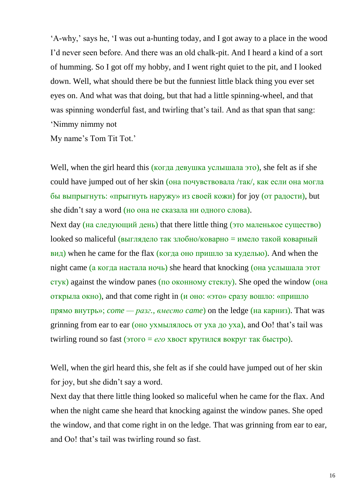'A-why,' says he, 'I was out a-hunting today, and I got away to a place in the wood I'd never seen before. And there was an old chalk-pit. And I heard a kind of a sort of humming. So I got off my hobby, and I went right quiet to the pit, and I looked down. Well, what should there be but the funniest little black thing you ever set eyes on. And what was that doing, but that had a little spinning-wheel, and that was spinning wonderful fast, and twirling that's tail. And as that span that sang: 'Nimmy nimmy not

My name's Tom Tit Tot.'

Well, when the girl heard this (когда девушка услышала это), she felt as if she could have jumped out of her skin (она почувствовала /так/, как если она могла бы выпрыгнуть: «прыгнуть наружу» из своей кожи) for joy (от радости), but she didn't say a word (но она не сказала ни одного слова).

Next day (на следующий день) that there little thing (это маленькое существо) looked so maliceful (выглядело так злобно/коварно = имело такой коварный  $\mathbf{B}(\mathbf{H})$  when he came for the flax (когда оно пришло за куделью). And when the night came (а когда настала ночь) she heard that knocking (она услышала этот  $\overline{\text{cryk}}$ ) against the window panes (по оконному стеклу). She oped the window (она открыла окно), and that come right in (и оно: «это» сразу вошло: «пришло прямо внутрь»; *come — разг., вместо came*) on the ledge (на карниз). That was grinning from ear to ear (оно ухмылялось от уха до уха), and Oo! that's tail was twirling round so fast (этого = *его* хвост крутился вокруг так быстро).

Well, when the girl heard this, she felt as if she could have jumped out of her skin for joy, but she didn't say a word.

Next day that there little thing looked so maliceful when he came for the flax. And when the night came she heard that knocking against the window panes. She oped the window, and that come right in on the ledge. That was grinning from ear to ear, and Oo! that's tail was twirling round so fast.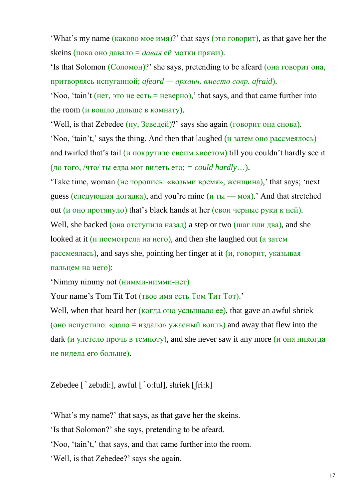'What's my name (каково мое имя)?' that says (это говорит), as that gave her the skeins (пока оно давало = *давая* ей мотки пряжи).

'Is that Solomon (Соломон)?' she says, pretending to be afeard (она говорит она, притворяясь испуганной; *afeard — архаич. вместо совр. afraid*).

'Noo, 'tain't (нет, это не есть = неверно),' that says, and that came further into the room (и вошло дальше в комнату).

'Well, is that Zebedee (ну, Зеведей)?' says she again (говорит она снова).

'Noo, 'tain't,' says the thing. And then that laughed (и затем оно рассмеялось) and twirled that's tail (и покрутило своим хвостом) till you couldn't hardly see it (до того, /что/ ты едва мог видеть его; *= could hardly*…).

'Take time, woman (не торопись: «возьми время», женщина),' that says; 'next guess (следующая догадка), and you're mine  $(u_{\text{th}} - \text{mod})$ . And that stretched out (и оно протянуло) that's black hands at her (свои черные руки к ней). Well, she backed (она отступила назад) a step or two (шаг или два), and she looked at it (и посмотрела на него), and then she laughed out (а затем рассмеялась), and says she, pointing her finger at it (и, говорит, указывая пальцем на него):

'Nimmy nimmy not (нимми-нимми-нет)

Your name's Tom Tit Tot (твое имя есть Том Тит Тот).'

Well, when that heard her (когда оно услышало ее), that gave an awful shriek  $(0)$ но испустило: «дало = издало» ужасный вопль) and away that flew into the dark (и улетело прочь в темноту), and she never saw it any more (и она никогда не видела его больше).

Zebedee  $\lceil$  zebidi:], awful  $\lceil$  o:ful], shriek  $\lceil$  fri:k]

'What's my name?' that says, as that gave her the skeins. 'Is that Solomon?' she says, pretending to be afeard. 'Noo, 'tain't,' that says, and that came further into the room. 'Well, is that Zebedee?' says she again.